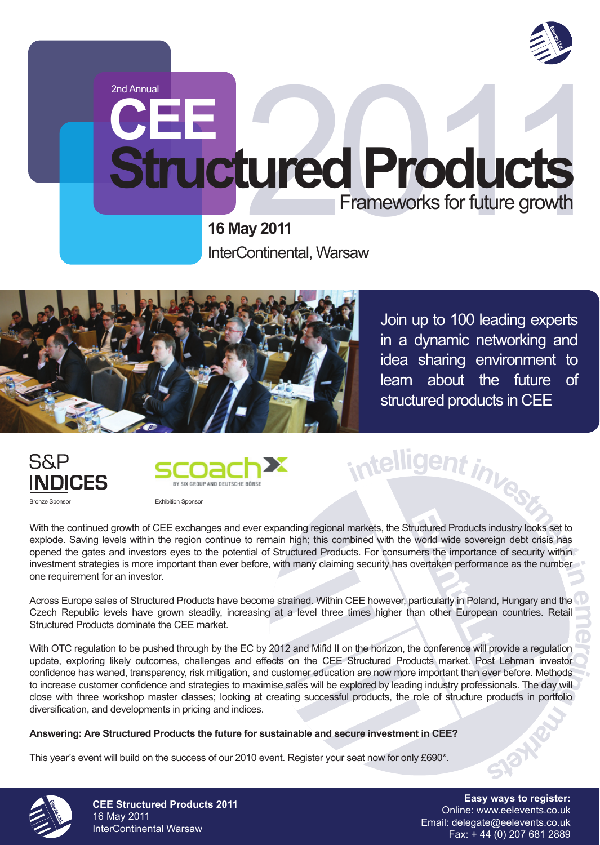

# **Structured Products**<br>
Frameworks for future growth<br>
16 May 2011<br>
InterContinental, Warsaw **Structured Products** Frameworks for future growth

**16 May 2011** InterContinental, Warsaw

2nd Annual

Join up to 100 leading experts in a dynamic networking and idea sharing environment to learn about the future of structured products in CEE

**<sup>i</sup>ntelligentinvestment<sup>i</sup><sup>n</sup>**





Bronze Sponsor Exhibition Sponsor

Fructured Products induxional<br>
World wide sovereign<br>
Events the importance covertaken performance<br>
Divertaken performance<br>
Diverticularly in Poland, Hann other European<br>
The conference will prove<br>
the conference will prove With the continued growth of CEE exchanges and ever expanding regional markets, the Structured Products industry looks set to explode. Saving levels within the region continue to remain high; this combined with the world wide sovereign debt crisis has opened the gates and investors eyes to the potential of Structured Products. For consumers the importance of security within investment strategies is more important than ever before, with many claiming security has overtaken performance as the number one requirement for an investor.

**em** Across Europe sales of Structured Products have become strained. Within CEE however, particularly in Poland, Hungary and the Czech Republic levels have grown steadily, increasing at a level three times higher than other European countries. Retail Structured Products dominate the CEE market.

**e**<br>**pr**<br>**or** confidence has waned, transparency, risk mitigation, and customer education are now more important than ever before. Methods<br>to increase customer confidence and strategies to maximise sales will be explored by leading indu **g**<br>products in portfolio With OTC regulation to be pushed through by the EC by 2012 and Mifid II on the horizon, the conference will provide a regulation update, exploring likely outcomes, challenges and effects on the CEE Structured Products market. Post Lehman investor confidence has waned, transparency, risk mitigation, and customer education are now more important than ever before. Methods close with three workshop master classes; looking at creating successful products, the role of structure products in portfolio diversification, and developments in pricing and indices.

#### **Answering: Are Structured Products the future for sustainable and secure investment in CEE?**

This year's event will build on the success of our 2010 event. Register your seat now for only £690\*.



**CEE Structured Products 2011** 16 May 2011 InterContinental Warsaw

**Easy ways to register:** Online: www.eelevents.co.uk Email: delegate@eelevents.co.uk Fax: + 44 (0) 207 681 2889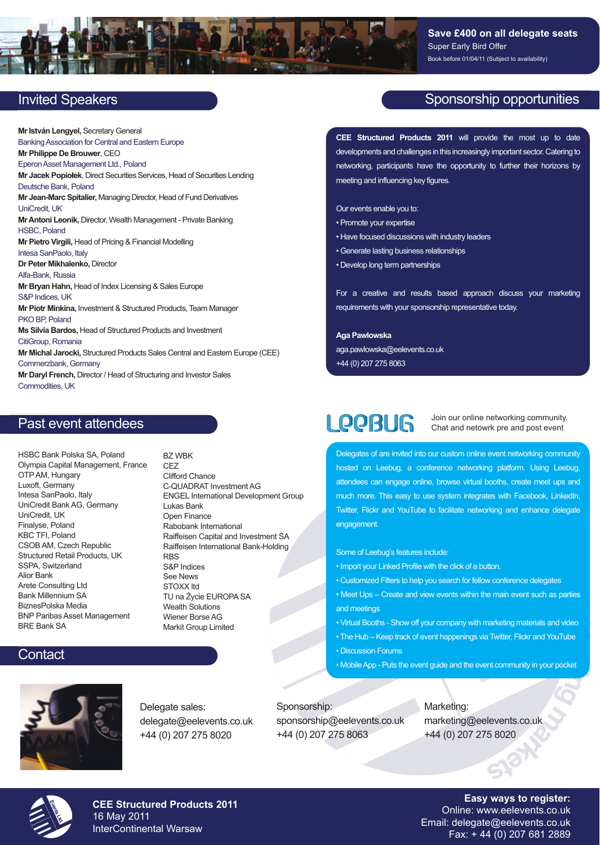

# Invited Speakers

**Mr István Lengyel,** Secretary General Banking Association for Central and Eastern Europe **Mr Philippe De Brouwer**, CEO Eperon Asset Management Ltd., Poland **Mr Jacek Popiołek**, Direct Securities Services, Head of Securities Lending Deutsche Bank, Poland **Mr Jean-Marc Spitalier,** Managing Director, Head of Fund Derivatives UniCredit, UK **Mr Antoni Leonik,** Director, Wealth Management - Private Banking HSBC, Poland **Mr Pietro Virgili,** Head of Pricing & Financial Modelling Intesa SanPaolo, Italy **Dr Peter Mikhalenko,** Director Alfa-Bank, Russia **Mr Bryan Hahn,** Head of Index Licensing & Sales Europe S&P Indices, UK **Mr Piotr Minkina,** Investment & Structured Products, Team Manager PKO BP, Poland **Ms Silvia Bardos,** Head of Structured Products and Investment CitiGroup, Romania **Mr Michal Jarocki,** Structured Products Sales Central and Eastern Europe (CEE) Commerzbank, Germany **Mr Daryl French,** Director / Head of Structuring and Investor Sales Commodities, UK

BZ WBK

## Past event attendees

HSBC Bank Polska SA, Poland Olympia Capital Management, France OTP AM, Hungary Luxoft, Germany Intesa SanPaolo, Italy UniCredit Bank AG, Germany UniCredit, UK Finalyse, Poland KBC TFI, Poland CSOB AM, Czech Republic Structured Retail Products, UK SSPA, Switzerland Alior Bank Arete Consulting Ltd Bank Millennium SA BiznesPolska Media BNP Paribas Asset Management BRE Bank SA

CEZ Clifford Chance C-QUADRAT Investment AG ENGEL International Development Group Lukas Bank Open Finance Rabobank International Raiffeisen Capital and Investment SA Raiffeisen International Bank-Holding **RBS** S&P Indices See News STOXX ltd TU na Życie EUROPA SA Wealth Solutions Wiener Borse AG Markit Group Limited

# **Contact**



Delegate sales: delegate@eelevents.co.uk +44 (0) 207 275 8020

# Sponsorship opportunities

**CEE Structured Products 2011** will provide the most up to date developments and challenges in this increasingly important sector. Catering to networking, participants have the opportunity to further their horizons by meeting and influencing key figures.

Our events enable you to:

- Promote your expertise
- Have focused discussions with industry leaders
- Generate lasting business relationships
- Develop long term partnerships

For a creative and results based approach discuss your marketing requirements with your sponsorship representative today.

**Aga Pawlowska** aga.pawlowska@eelevents.co.uk +44 (0) 207 275 8063

# **LOOBUG**

Join our online networking community. Chat and netowrk pre and post event

**ile** coates of are invited into our custom online event networking community<br>ted on Leebug, a conference networking platform. Using Leebug,<br>andees can engage online, browse virtual booths, create meet ups and<br>ch more. Delegates of are invited into our custom online event networking community hosted on Leebug, a conference networking platform. Using Leebug, attendees can engage online, browse virtual booths, create meet ups and much more. This easy to use system integrates with Facebook, LinkedIn, Twitter, Flickr and YouTube to facilitate networking and enhance delegate engagement.

Some of Leebug's features include:

- Import your Linked Profile with the click of a button.
- Customized Filters to help you search for fellow conference delegates
- Meet Ups Create and view events within the main event such as parties<br>and meetings<br>• Virtual Booths Show off your company with marketing materials and video I ube to tacilitate networking<br>I ures include:<br>I bile with the click of a button.<br>I help you search for fellow cont<br>I view events within the main<br>off your company with markel<br>of event happenings via Twitt<br>event guide and t • Meet Ups – Create and view events within the main event such as parties and meetings
- 
- **erg** The Hub Keep track of event happenings via Twitter, Flickr and YouTube
- Discussion Forums
- **i** • Mobile App - Puts the event guide and the event community in your pocket

Sponsorship: sponsorship@eelevents.co.uk +44 (0) 207 275 8063

**g**<br> **g**<br> **g**<br> **g**<br> **g**<br> **e**<br> **g** Marketing: marketing@eelevents.co.uk +44 (0) 207 275 8020



**CEE Structured Products 2011** 16 May 2011 InterContinental Warsaw

**Easy ways to register:** Online: www.eelevents.co.uk Email: delegate@eelevents.co.uk Fax: + 44 (0) 207 681 2889